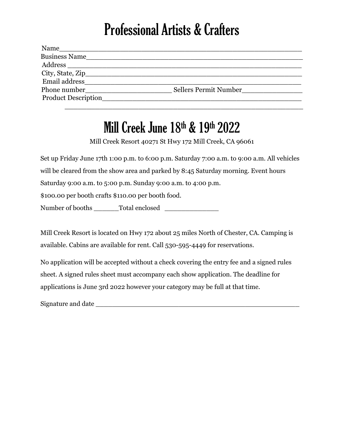## Professional Artists & Crafters

| Name                 |                       |
|----------------------|-----------------------|
| <b>Business Name</b> |                       |
| Address              |                       |
|                      |                       |
| Email address        |                       |
| Phone number         | Sellers Permit Number |
| Product Description  |                       |
|                      |                       |

## Mill Creek June 18<sup>th</sup> & 19<sup>th</sup> 2022

Mill Creek Resort 40271 St Hwy 172 Mill Creek, CA 96061

Set up Friday June 17th 1:00 p.m. to 6:00 p.m. Saturday 7:00 a.m. to 9:00 a.m. All vehicles will be cleared from the show area and parked by 8:45 Saturday morning. Event hours Saturday 9:00 a.m. to 5:00 p.m. Sunday 9:00 a.m. to 4:00 p.m. \$100.00 per booth crafts \$110.00 per booth food. Number of booths \_\_\_\_\_\_Total enclosed \_\_\_\_\_\_\_\_\_\_\_\_\_

Mill Creek Resort is located on Hwy 172 about 25 miles North of Chester, CA. Camping is available. Cabins are available for rent. Call 530-595-4449 for reservations.

No application will be accepted without a check covering the entry fee and a signed rules sheet. A signed rules sheet must accompany each show application. The deadline for applications is June 3rd 2022 however your category may be full at that time.

Signature and date